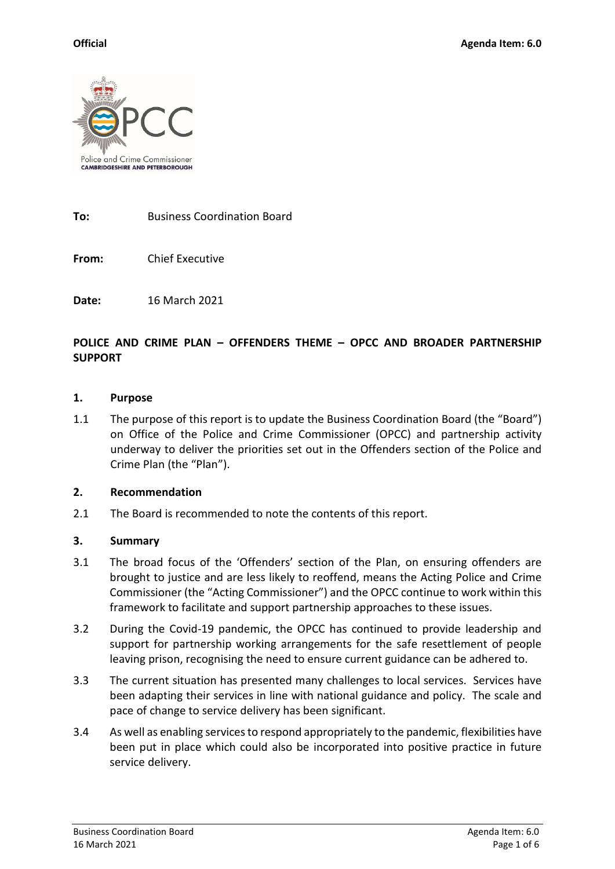

**To:** Business Coordination Board

**From:** Chief Executive

**Date:** 16 March 2021

## **POLICE AND CRIME PLAN – OFFENDERS THEME – OPCC AND BROADER PARTNERSHIP SUPPORT**

#### **1. Purpose**

1.1 The purpose of this report is to update the Business Coordination Board (the "Board") on Office of the Police and Crime Commissioner (OPCC) and partnership activity underway to deliver the priorities set out in the Offenders section of the Police and Crime Plan (the "Plan").

#### **2. Recommendation**

2.1 The Board is recommended to note the contents of this report.

#### **3. Summary**

- 3.1 The broad focus of the 'Offenders' section of the Plan, on ensuring offenders are brought to justice and are less likely to reoffend, means the Acting Police and Crime Commissioner (the "Acting Commissioner") and the OPCC continue to work within this framework to facilitate and support partnership approaches to these issues.
- 3.2 During the Covid-19 pandemic, the OPCC has continued to provide leadership and support for partnership working arrangements for the safe resettlement of people leaving prison, recognising the need to ensure current guidance can be adhered to.
- 3.3 The current situation has presented many challenges to local services. Services have been adapting their services in line with national guidance and policy. The scale and pace of change to service delivery has been significant.
- 3.4 As well as enabling services to respond appropriately to the pandemic, flexibilities have been put in place which could also be incorporated into positive practice in future service delivery.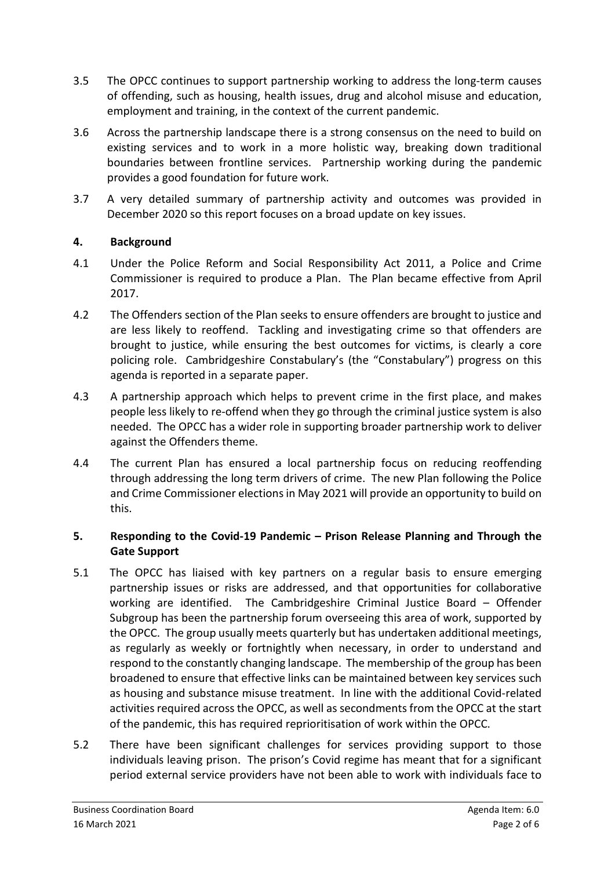- 3.5 The OPCC continues to support partnership working to address the long-term causes of offending, such as housing, health issues, drug and alcohol misuse and education, employment and training, in the context of the current pandemic.
- 3.6 Across the partnership landscape there is a strong consensus on the need to build on existing services and to work in a more holistic way, breaking down traditional boundaries between frontline services. Partnership working during the pandemic provides a good foundation for future work.
- 3.7 A very detailed summary of partnership activity and outcomes was provided in December 2020 so this report focuses on a broad update on key issues.

# **4. Background**

- 4.1 Under the Police Reform and Social Responsibility Act 2011, a Police and Crime Commissioner is required to produce a Plan. The Plan became effective from April 2017.
- 4.2 The Offenders section of the Plan seeks to ensure offenders are brought to justice and are less likely to reoffend. Tackling and investigating crime so that offenders are brought to justice, while ensuring the best outcomes for victims, is clearly a core policing role. Cambridgeshire Constabulary's (the "Constabulary") progress on this agenda is reported in a separate paper.
- 4.3 A partnership approach which helps to prevent crime in the first place, and makes people less likely to re-offend when they go through the criminal justice system is also needed. The OPCC has a wider role in supporting broader partnership work to deliver against the Offenders theme.
- 4.4 The current Plan has ensured a local partnership focus on reducing reoffending through addressing the long term drivers of crime. The new Plan following the Police and Crime Commissioner elections in May 2021 will provide an opportunity to build on this.

# **5. Responding to the Covid-19 Pandemic – Prison Release Planning and Through the Gate Support**

- 5.1 The OPCC has liaised with key partners on a regular basis to ensure emerging partnership issues or risks are addressed, and that opportunities for collaborative working are identified. The Cambridgeshire Criminal Justice Board – Offender Subgroup has been the partnership forum overseeing this area of work, supported by the OPCC. The group usually meets quarterly but has undertaken additional meetings, as regularly as weekly or fortnightly when necessary, in order to understand and respond to the constantly changing landscape. The membership of the group has been broadened to ensure that effective links can be maintained between key services such as housing and substance misuse treatment. In line with the additional Covid-related activities required across the OPCC, as well as secondments from the OPCC at the start of the pandemic, this has required reprioritisation of work within the OPCC.
- 5.2 There have been significant challenges for services providing support to those individuals leaving prison. The prison's Covid regime has meant that for a significant period external service providers have not been able to work with individuals face to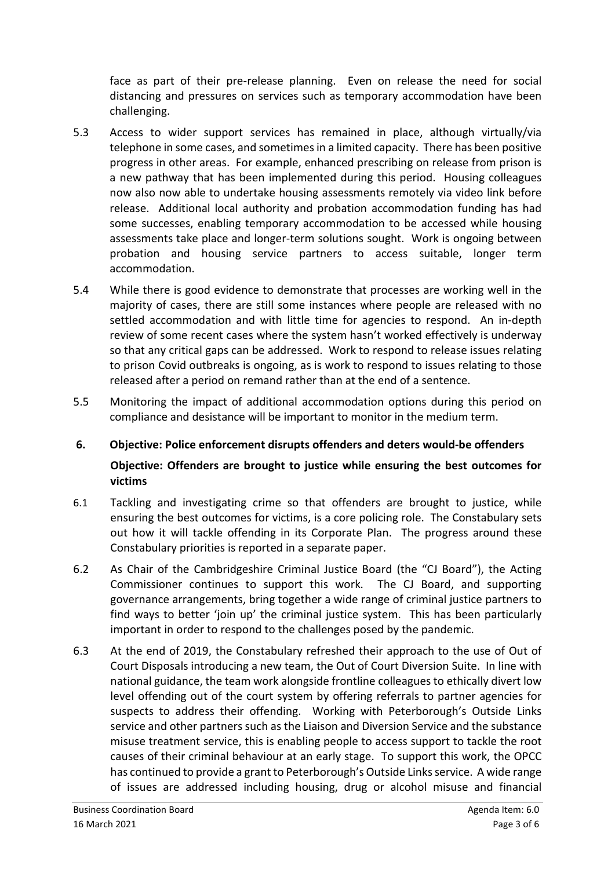face as part of their pre-release planning. Even on release the need for social distancing and pressures on services such as temporary accommodation have been challenging.

- 5.3 Access to wider support services has remained in place, although virtually/via telephone in some cases, and sometimes in a limited capacity. There has been positive progress in other areas. For example, enhanced prescribing on release from prison is a new pathway that has been implemented during this period. Housing colleagues now also now able to undertake housing assessments remotely via video link before release. Additional local authority and probation accommodation funding has had some successes, enabling temporary accommodation to be accessed while housing assessments take place and longer-term solutions sought. Work is ongoing between probation and housing service partners to access suitable, longer term accommodation.
- 5.4 While there is good evidence to demonstrate that processes are working well in the majority of cases, there are still some instances where people are released with no settled accommodation and with little time for agencies to respond. An in-depth review of some recent cases where the system hasn't worked effectively is underway so that any critical gaps can be addressed. Work to respond to release issues relating to prison Covid outbreaks is ongoing, as is work to respond to issues relating to those released after a period on remand rather than at the end of a sentence.
- 5.5 Monitoring the impact of additional accommodation options during this period on compliance and desistance will be important to monitor in the medium term.

# **6. Objective: Police enforcement disrupts offenders and deters would-be offenders Objective: Offenders are brought to justice while ensuring the best outcomes for victims**

- 6.1 Tackling and investigating crime so that offenders are brought to justice, while ensuring the best outcomes for victims, is a core policing role. The Constabulary sets out how it will tackle offending in its Corporate Plan. The progress around these Constabulary priorities is reported in a separate paper.
- 6.2 As Chair of the Cambridgeshire Criminal Justice Board (the "CJ Board"), the Acting Commissioner continues to support this work. The CJ Board, and supporting governance arrangements, bring together a wide range of criminal justice partners to find ways to better 'join up' the criminal justice system. This has been particularly important in order to respond to the challenges posed by the pandemic.
- 6.3 At the end of 2019, the Constabulary refreshed their approach to the use of Out of Court Disposals introducing a new team, the Out of Court Diversion Suite. In line with national guidance, the team work alongside frontline colleagues to ethically divert low level offending out of the court system by offering referrals to partner agencies for suspects to address their offending. Working with Peterborough's Outside Links service and other partners such as the Liaison and Diversion Service and the substance misuse treatment service, this is enabling people to access support to tackle the root causes of their criminal behaviour at an early stage. To support this work, the OPCC has continued to provide a grant to Peterborough's Outside Links service. A wide range of issues are addressed including housing, drug or alcohol misuse and financial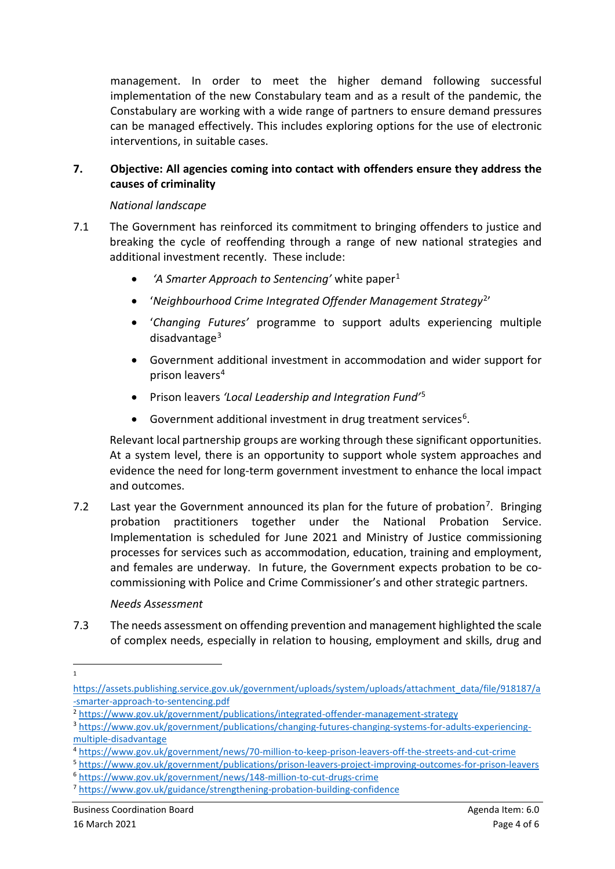management. In order to meet the higher demand following successful implementation of the new Constabulary team and as a result of the pandemic, the Constabulary are working with a wide range of partners to ensure demand pressures can be managed effectively. This includes exploring options for the use of electronic interventions, in suitable cases.

### **7. Objective: All agencies coming into contact with offenders ensure they address the causes of criminality**

#### *National landscape*

- 7.1 The Government has reinforced its commitment to bringing offenders to justice and breaking the cycle of reoffending through a range of new national strategies and additional investment recently. These include:
	- *'A Smarter Approach to Sentencing'* white paper[1](#page-3-0)
	- '*Neighbourhood Crime Integrated Offender Management Strategy*[2](#page-3-1)'
	- '*Changing Futures'* programme to support adults experiencing multiple disadvantage<sup>[3](#page-3-2)</sup>
	- Government additional investment in accommodation and wider support for prison leavers<sup>[4](#page-3-3)</sup>
	- Prison leavers *'Local Leadership and Integration Fund'*[5](#page-3-4)
	- Government additional investment in drug treatment services<sup>[6](#page-3-5)</sup>.

Relevant local partnership groups are working through these significant opportunities. At a system level, there is an opportunity to support whole system approaches and evidence the need for long-term government investment to enhance the local impact and outcomes.

[7.](#page-3-6)2 Last year the Government announced its plan for the future of probation<sup>7</sup>. Bringing probation practitioners together under the National Probation Service. Implementation is scheduled for June 2021 and Ministry of Justice commissioning processes for services such as accommodation, education, training and employment, and females are underway. In future, the Government expects probation to be cocommissioning with Police and Crime Commissioner's and other strategic partners.

# *Needs Assessment*

7.3 The needs assessment on offending prevention and management highlighted the scale of complex needs, especially in relation to housing, employment and skills, drug and

 $\frac{1}{1}$  $\mathbf{1}$ 

<span id="page-3-0"></span>[https://assets.publishing.service.gov.uk/government/uploads/system/uploads/attachment\\_data/file/918187/a](https://assets.publishing.service.gov.uk/government/uploads/system/uploads/attachment_data/file/918187/a-smarter-approach-to-sentencing.pdf) [-smarter-approach-to-sentencing.pdf](https://assets.publishing.service.gov.uk/government/uploads/system/uploads/attachment_data/file/918187/a-smarter-approach-to-sentencing.pdf)

<span id="page-3-1"></span><sup>2</sup> <https://www.gov.uk/government/publications/integrated-offender-management-strategy>

<span id="page-3-2"></span><sup>3</sup> [https://www.gov.uk/government/publications/changing-futures-changing-systems-for-adults-experiencing](https://www.gov.uk/government/publications/changing-futures-changing-systems-for-adults-experiencing-multiple-disadvantage)[multiple-disadvantage](https://www.gov.uk/government/publications/changing-futures-changing-systems-for-adults-experiencing-multiple-disadvantage)

<span id="page-3-3"></span><sup>4</sup> <https://www.gov.uk/government/news/70-million-to-keep-prison-leavers-off-the-streets-and-cut-crime>

<span id="page-3-4"></span><sup>5</sup> <https://www.gov.uk/government/publications/prison-leavers-project-improving-outcomes-for-prison-leavers>

<span id="page-3-5"></span><sup>6</sup> <https://www.gov.uk/government/news/148-million-to-cut-drugs-crime>

<span id="page-3-6"></span><sup>7</sup> <https://www.gov.uk/guidance/strengthening-probation-building-confidence>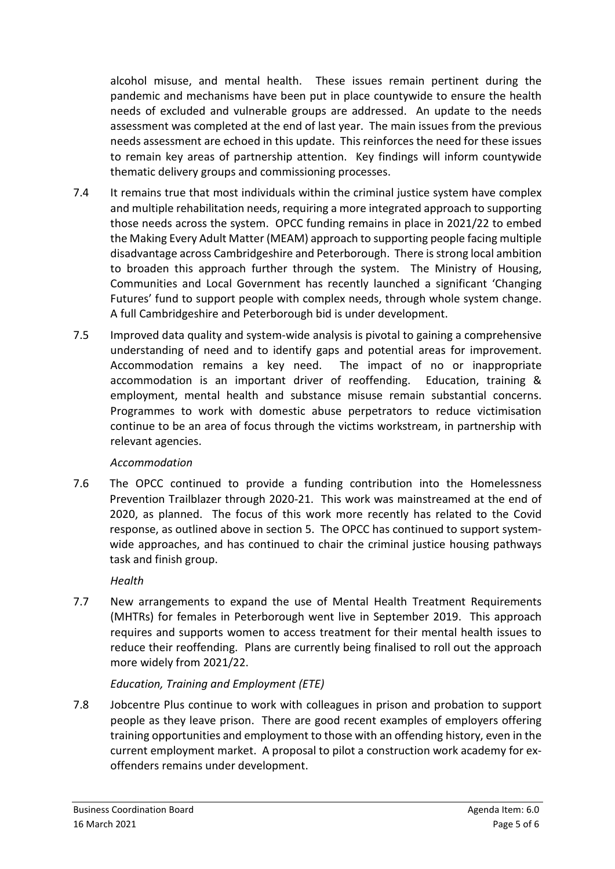alcohol misuse, and mental health. These issues remain pertinent during the pandemic and mechanisms have been put in place countywide to ensure the health needs of excluded and vulnerable groups are addressed. An update to the needs assessment was completed at the end of last year. The main issues from the previous needs assessment are echoed in this update. This reinforces the need for these issues to remain key areas of partnership attention. Key findings will inform countywide thematic delivery groups and commissioning processes.

- 7.4 It remains true that most individuals within the criminal justice system have complex and multiple rehabilitation needs, requiring a more integrated approach to supporting those needs across the system. OPCC funding remains in place in 2021/22 to embed the Making Every Adult Matter (MEAM) approach to supporting people facing multiple disadvantage across Cambridgeshire and Peterborough. There is strong local ambition to broaden this approach further through the system. The Ministry of Housing, Communities and Local Government has recently launched a significant 'Changing Futures' fund to support people with complex needs, through whole system change. A full Cambridgeshire and Peterborough bid is under development.
- 7.5 Improved data quality and system-wide analysis is pivotal to gaining a comprehensive understanding of need and to identify gaps and potential areas for improvement. Accommodation remains a key need. The impact of no or inappropriate accommodation is an important driver of reoffending. Education, training & employment, mental health and substance misuse remain substantial concerns. Programmes to work with domestic abuse perpetrators to reduce victimisation continue to be an area of focus through the victims workstream, in partnership with relevant agencies.

# *Accommodation*

7.6 The OPCC continued to provide a funding contribution into the Homelessness Prevention Trailblazer through 2020-21. This work was mainstreamed at the end of 2020, as planned. The focus of this work more recently has related to the Covid response, as outlined above in section 5. The OPCC has continued to support systemwide approaches, and has continued to chair the criminal justice housing pathways task and finish group.

*Health*

7.7 New arrangements to expand the use of Mental Health Treatment Requirements (MHTRs) for females in Peterborough went live in September 2019. This approach requires and supports women to access treatment for their mental health issues to reduce their reoffending. Plans are currently being finalised to roll out the approach more widely from 2021/22.

# *Education, Training and Employment (ETE)*

7.8 Jobcentre Plus continue to work with colleagues in prison and probation to support people as they leave prison. There are good recent examples of employers offering training opportunities and employment to those with an offending history, even in the current employment market. A proposal to pilot a construction work academy for exoffenders remains under development.